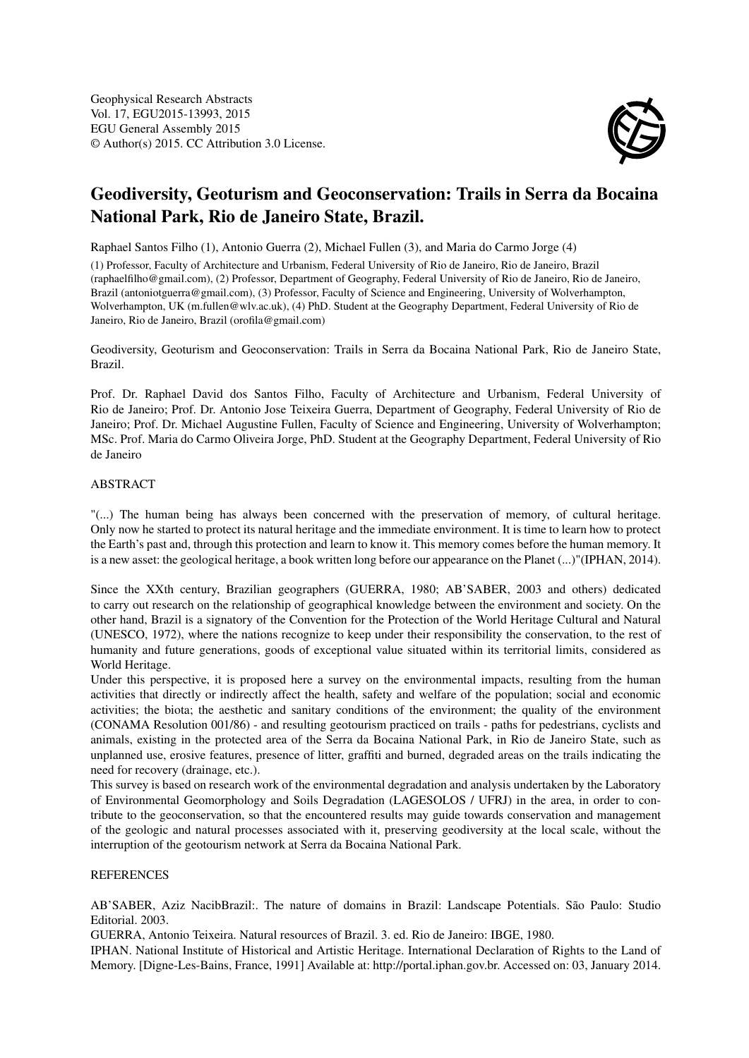

## Geodiversity, Geoturism and Geoconservation: Trails in Serra da Bocaina National Park, Rio de Janeiro State, Brazil.

Raphael Santos Filho (1), Antonio Guerra (2), Michael Fullen (3), and Maria do Carmo Jorge (4)

(1) Professor, Faculty of Architecture and Urbanism, Federal University of Rio de Janeiro, Rio de Janeiro, Brazil (raphaelfilho@gmail.com), (2) Professor, Department of Geography, Federal University of Rio de Janeiro, Rio de Janeiro, Brazil (antoniotguerra@gmail.com), (3) Professor, Faculty of Science and Engineering, University of Wolverhampton, Wolverhampton, UK (m.fullen@wlv.ac.uk), (4) PhD. Student at the Geography Department, Federal University of Rio de Janeiro, Rio de Janeiro, Brazil (orofila@gmail.com)

Geodiversity, Geoturism and Geoconservation: Trails in Serra da Bocaina National Park, Rio de Janeiro State, Brazil.

Prof. Dr. Raphael David dos Santos Filho, Faculty of Architecture and Urbanism, Federal University of Rio de Janeiro; Prof. Dr. Antonio Jose Teixeira Guerra, Department of Geography, Federal University of Rio de Janeiro; Prof. Dr. Michael Augustine Fullen, Faculty of Science and Engineering, University of Wolverhampton; MSc. Prof. Maria do Carmo Oliveira Jorge, PhD. Student at the Geography Department, Federal University of Rio de Janeiro

## ABSTRACT

"(...) The human being has always been concerned with the preservation of memory, of cultural heritage. Only now he started to protect its natural heritage and the immediate environment. It is time to learn how to protect the Earth's past and, through this protection and learn to know it. This memory comes before the human memory. It is a new asset: the geological heritage, a book written long before our appearance on the Planet (...)"(IPHAN, 2014).

Since the XXth century, Brazilian geographers (GUERRA, 1980; AB'SABER, 2003 and others) dedicated to carry out research on the relationship of geographical knowledge between the environment and society. On the other hand, Brazil is a signatory of the Convention for the Protection of the World Heritage Cultural and Natural (UNESCO, 1972), where the nations recognize to keep under their responsibility the conservation, to the rest of humanity and future generations, goods of exceptional value situated within its territorial limits, considered as World Heritage.

Under this perspective, it is proposed here a survey on the environmental impacts, resulting from the human activities that directly or indirectly affect the health, safety and welfare of the population; social and economic activities; the biota; the aesthetic and sanitary conditions of the environment; the quality of the environment (CONAMA Resolution 001/86) - and resulting geotourism practiced on trails - paths for pedestrians, cyclists and animals, existing in the protected area of the Serra da Bocaina National Park, in Rio de Janeiro State, such as unplanned use, erosive features, presence of litter, graffiti and burned, degraded areas on the trails indicating the need for recovery (drainage, etc.).

This survey is based on research work of the environmental degradation and analysis undertaken by the Laboratory of Environmental Geomorphology and Soils Degradation (LAGESOLOS / UFRJ) in the area, in order to contribute to the geoconservation, so that the encountered results may guide towards conservation and management of the geologic and natural processes associated with it, preserving geodiversity at the local scale, without the interruption of the geotourism network at Serra da Bocaina National Park.

## **REFERENCES**

AB'SABER, Aziz NacibBrazil:. The nature of domains in Brazil: Landscape Potentials. São Paulo: Studio Editorial. 2003.

GUERRA, Antonio Teixeira. Natural resources of Brazil. 3. ed. Rio de Janeiro: IBGE, 1980.

IPHAN. National Institute of Historical and Artistic Heritage. International Declaration of Rights to the Land of Memory. [Digne-Les-Bains, France, 1991] Available at: http://portal.iphan.gov.br. Accessed on: 03, January 2014.